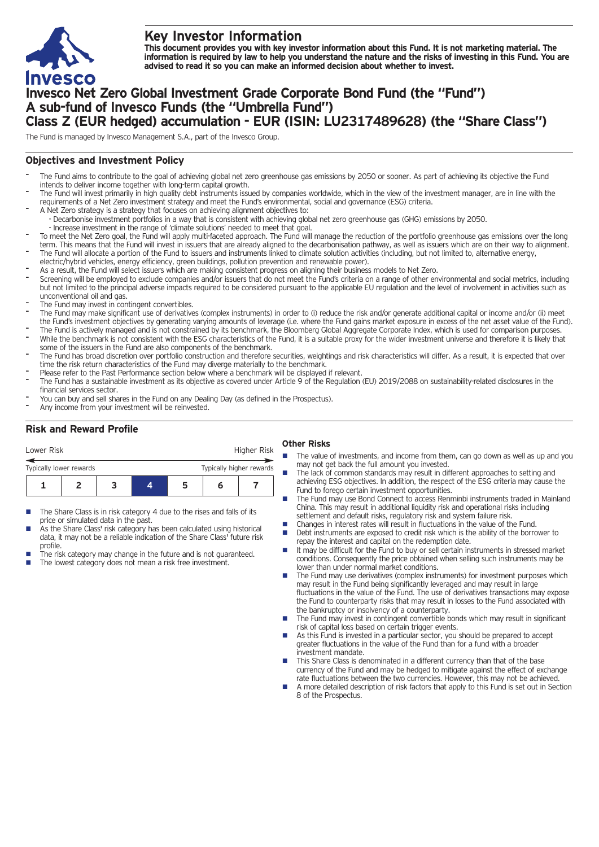

# **Key Investor Information**

This document provides you with key investor information about this Fund. It is not marketing material. The information is required by law to help you understand the nature and the risks of investing in this Fund. You are **advised to read it so you can make an informed decision about whether to invest.**

# **Invesco Net Zero Global Investment Grade Corporate Bond Fund (the "Fund") A sub-fund of Invesco Funds (the "Umbrella Fund") Class Z (EUR hedged) accumulation - EUR (ISIN: LU2317489628) (the "Share Class")**

The Fund is managed by Invesco Management S.A., part of the Invesco Group.

## **Objectives and Investment Policy**

- The Fund aims to contribute to the goal of achieving global net zero greenhouse gas emissions by 2050 or sooner. As part of achieving its objective the Fund intends to deliver income together with long-term capital growth.
- The Fund will invest primarily in high quality debt instruments issued by companies worldwide, which in the view of the investment manager, are in line with the requirements of a Net Zero investment strategy and meet the Fund's environmental, social and governance (ESG) criteria.
- A Net Zero strategy is a strategy that focuses on achieving alignment objectives to: - Decarbonise investment portfolios in a way that is consistent with achieving global net zero greenhouse gas (GHG) emissions by 2050.
- Increase investment in the range of 'climate solutions' needed to meet that goal.
- To meet the Net Zero goal, the Fund will apply multi-faceted approach. The Fund will manage the reduction of the portfolio greenhouse gas emissions over the long term. This means that the Fund will invest in issuers that are already aligned to the decarbonisation pathway, as well as issuers which are on their way to alignment. The Fund will allocate a portion of the Fund to issuers and instruments linked to climate solution activities (including, but not limited to, alternative energy,
- electric/hybrid vehicles, energy efficiency, green buildings, pollution prevention and renewable power).
- As a result, the Fund will select issuers which are making consistent progress on aligning their business models to Net Zero.
- Screening will be employed to exclude companies and/or issuers that do not meet the Fund's criteria on a range of other environmental and social metrics, including but not limited to the principal adverse impacts required to be considered pursuant to the applicable EU regulation and the level of involvement in activities such as unconventional oil and gas.
- The Fund may invest in contingent convertibles.
- The Fund may make significant use of derivatives (complex instruments) in order to (i) reduce the risk and/or generate additional capital or income and/or (ii) meet the Fund's investment objectives by generating varying amounts of leverage (i.e. where the Fund gains market exposure in excess of the net asset value of the Fund).
- The Fund is actively managed and is not constrained by its benchmark, the Bloomberg Global Aggregate Corporate Index, which is used for comparison purposes. While the benchmark is not consistent with the ESG characteristics of the Fund, it is a suitable proxy for the wider investment universe and therefore it is likely that some of the issuers in the Fund are also components of the benchmark.
- The Fund has broad discretion over portfolio construction and therefore securities, weightings and risk characteristics will differ. As a result, it is expected that over time the risk return characteristics of the Fund may diverge materially to the benchmark.
- Please refer to the Past Performance section below where a benchmark will be displayed if relevant.
- The Fund has a sustainable investment as its objective as covered under Article 9 of the Regulation (EU) 2019/2088 on sustainability-related disclosures in the financial services sector.
- You can buy and sell shares in the Fund on any Dealing Day (as defined in the Prospectus).
- Any income from your investment will be reinvested.

## **Risk and Reward Profile**

| Lower Risk                                          |  |  |  | Higher Risk |   |  |
|-----------------------------------------------------|--|--|--|-------------|---|--|
| Typically higher rewards<br>Typically lower rewards |  |  |  |             |   |  |
|                                                     |  |  |  | ּ           | n |  |

- The Share Class is in risk category 4 due to the rises and falls of its price or simulated data in the past.
- As the Share Class' risk category has been calculated using historical data, it may not be a reliable indication of the Share Class' future risk profile.
- The risk category may change in the future and is not guaranteed. The lowest category does not mean a risk free investment.

## **Other Risks**

- The value of investments, and income from them, can go down as well as up and you may not get back the full amount you invested.
- The lack of common standards may result in different approaches to setting and achieving ESG objectives. In addition, the respect of the ESG criteria may cause the Fund to forego certain investment opportunities.
- The Fund may use Bond Connect to access Renminbi instruments traded in Mainland China. This may result in additional liquidity risk and operational risks including settlement and default risks, regulatory risk and system failure risk.
- Changes in interest rates will result in fluctuations in the value of the Fund.<br>■ Debt instruments are exposed to credit risk which is the ability of the borre
- Debt instruments are exposed to credit risk which is the ability of the borrower to repay the interest and capital on the redemption date.
- $\blacksquare$  It may be difficult for the Fund to buy or sell certain instruments in stressed market conditions. Consequently the price obtained when selling such instruments may be lower than under normal market conditions.
- The Fund may use derivatives (complex instruments) for investment purposes which may result in the Fund being significantly leveraged and may result in large fluctuations in the value of the Fund. The use of derivatives transactions may expose the Fund to counterparty risks that may result in losses to the Fund associated with the bankruptcy or insolvency of a counterparty.
- The Fund may invest in contingent convertible bonds which may result in significant risk of capital loss based on certain trigger events.
- n As this Fund is invested in a particular sector, you should be prepared to accept greater fluctuations in the value of the Fund than for a fund with a broader investment mandate.
- This Share Class is denominated in a different currency than that of the base currency of the Fund and may be hedged to mitigate against the effect of exchange rate fluctuations between the two currencies. However, this may not be achieved.
- n A more detailed description of risk factors that apply to this Fund is set out in Section 8 of the Prospectus.